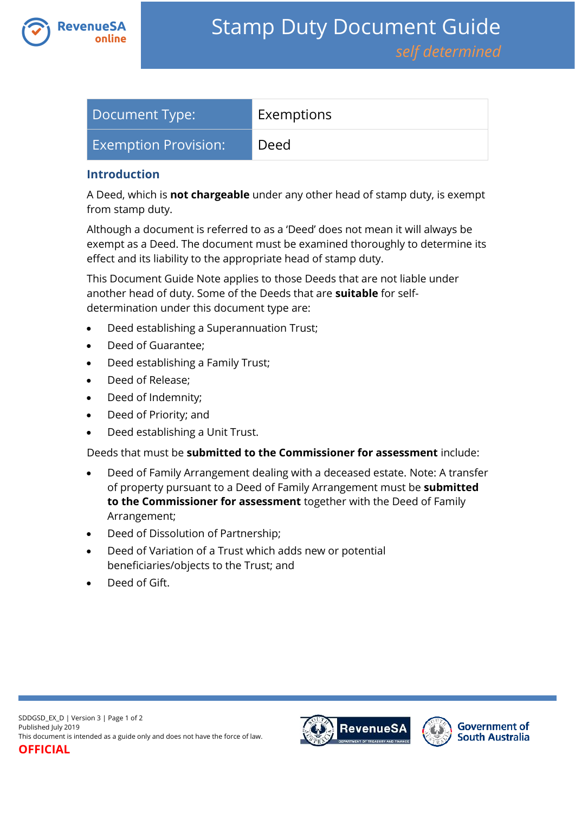

| Document Type:              | Exemptions |
|-----------------------------|------------|
| <b>Exemption Provision:</b> | Deed       |

### **Introduction**

A Deed, which is **not chargeable** under any other head of stamp duty, is exempt from stamp duty.

Although a document is referred to as a 'Deed' does not mean it will always be exempt as a Deed. The document must be examined thoroughly to determine its effect and its liability to the appropriate head of stamp duty.

This Document Guide Note applies to those Deeds that are not liable under another head of duty. Some of the Deeds that are **suitable** for selfdetermination under this document type are:

- Deed establishing a Superannuation Trust;
- Deed of Guarantee:
- Deed establishing a Family Trust;
- Deed of Release;
- Deed of Indemnity;
- Deed of Priority; and
- Deed establishing a Unit Trust.

Deeds that must be **submitted to the Commissioner for assessment** include:

- Deed of Family Arrangement dealing with a deceased estate. Note: A transfer of property pursuant to a Deed of Family Arrangement must be **submitted to the Commissioner for assessment** together with the Deed of Family Arrangement;
- Deed of Dissolution of Partnership;
- Deed of Variation of a Trust which adds new or potential beneficiaries/objects to the Trust; and
- Deed of Gift.